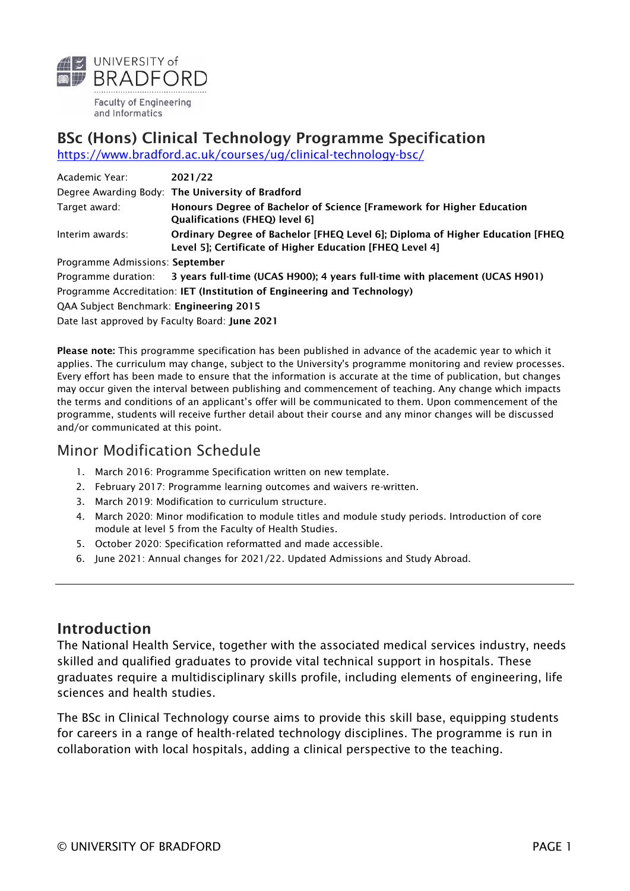

and Informatics

# BSc (Hons) Clinical Technology Programme Specification

<https://www.bradford.ac.uk/courses/ug/clinical-technology-bsc/>

| Academic Year:                                                           | 2021/22                                                                                                                                   |  |  |  |
|--------------------------------------------------------------------------|-------------------------------------------------------------------------------------------------------------------------------------------|--|--|--|
|                                                                          | Degree Awarding Body: The University of Bradford                                                                                          |  |  |  |
| Target award:                                                            | Honours Degree of Bachelor of Science [Framework for Higher Education<br>Qualifications (FHEQ) level 6]                                   |  |  |  |
| Interim awards:                                                          | Ordinary Degree of Bachelor [FHEQ Level 6]; Diploma of Higher Education [FHEQ<br>Level 5]; Certificate of Higher Education [FHEQ Level 4] |  |  |  |
| Programme Admissions: September                                          |                                                                                                                                           |  |  |  |
|                                                                          | Programme duration: 3 years full-time (UCAS H900); 4 years full-time with placement (UCAS H901)                                           |  |  |  |
| Programme Accreditation: IET (Institution of Engineering and Technology) |                                                                                                                                           |  |  |  |
| QAA Subject Benchmark: Engineering 2015                                  |                                                                                                                                           |  |  |  |

Date last approved by Faculty Board: June 2021

Please note: This programme specification has been published in advance of the academic year to which it applies. The curriculum may change, subject to the University's programme monitoring and review processes. Every effort has been made to ensure that the information is accurate at the time of publication, but changes may occur given the interval between publishing and commencement of teaching. Any change which impacts the terms and conditions of an applicant's offer will be communicated to them. Upon commencement of the programme, students will receive further detail about their course and any minor changes will be discussed and/or communicated at this point.

## Minor Modification Schedule

- 1. March 2016: Programme Specification written on new template.
- 2. February 2017: Programme learning outcomes and waivers re-written.
- 3. March 2019: Modification to curriculum structure.
- 4. March 2020: Minor modification to module titles and module study periods. Introduction of core module at level 5 from the Faculty of Health Studies.
- 5. October 2020: Specification reformatted and made accessible.
- 6. June 2021: Annual changes for 2021/22. Updated Admissions and Study Abroad.

#### Introduction

The National Health Service, together with the associated medical services industry, needs skilled and qualified graduates to provide vital technical support in hospitals. These graduates require a multidisciplinary skills profile, including elements of engineering, life sciences and health studies.

The BSc in Clinical Technology course aims to provide this skill base, equipping students for careers in a range of health-related technology disciplines. The programme is run in collaboration with local hospitals, adding a clinical perspective to the teaching.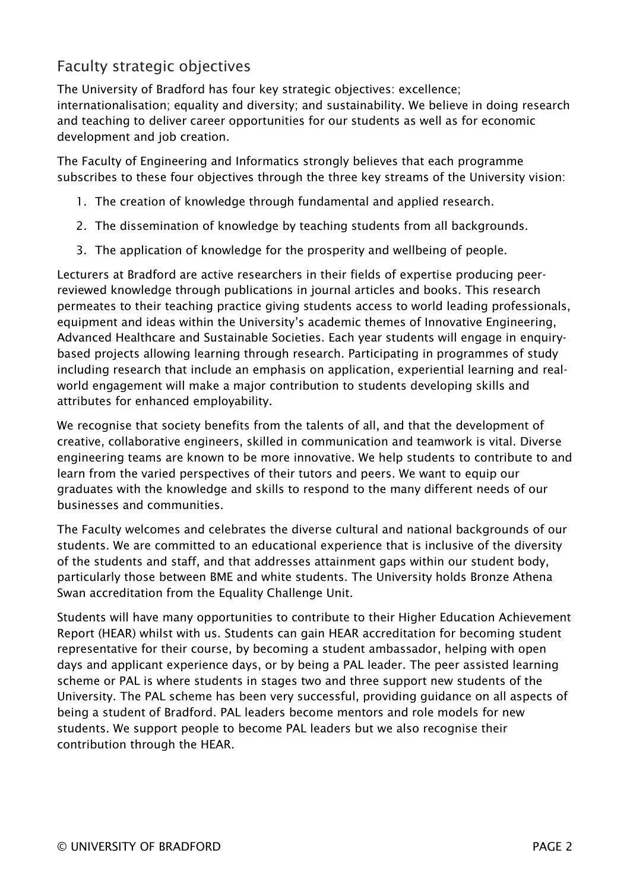## Faculty strategic objectives

The University of Bradford has four key strategic objectives: excellence; internationalisation; equality and diversity; and sustainability. We believe in doing research and teaching to deliver career opportunities for our students as well as for economic development and job creation.

The Faculty of Engineering and Informatics strongly believes that each programme subscribes to these four objectives through the three key streams of the University vision:

- 1. The creation of knowledge through fundamental and applied research.
- 2. The dissemination of knowledge by teaching students from all backgrounds.
- 3. The application of knowledge for the prosperity and wellbeing of people.

Lecturers at Bradford are active researchers in their fields of expertise producing peerreviewed knowledge through publications in journal articles and books. This research permeates to their teaching practice giving students access to world leading professionals, equipment and ideas within the University's academic themes of Innovative Engineering, Advanced Healthcare and Sustainable Societies. Each year students will engage in enquirybased projects allowing learning through research. Participating in programmes of study including research that include an emphasis on application, experiential learning and realworld engagement will make a major contribution to students developing skills and attributes for enhanced employability.

We recognise that society benefits from the talents of all, and that the development of creative, collaborative engineers, skilled in communication and teamwork is vital. Diverse engineering teams are known to be more innovative. We help students to contribute to and learn from the varied perspectives of their tutors and peers. We want to equip our graduates with the knowledge and skills to respond to the many different needs of our businesses and communities.

The Faculty welcomes and celebrates the diverse cultural and national backgrounds of our students. We are committed to an educational experience that is inclusive of the diversity of the students and staff, and that addresses attainment gaps within our student body, particularly those between BME and white students. The University holds Bronze Athena Swan accreditation from the Equality Challenge Unit.

Students will have many opportunities to contribute to their Higher Education Achievement Report (HEAR) whilst with us. Students can gain HEAR accreditation for becoming student representative for their course, by becoming a student ambassador, helping with open days and applicant experience days, or by being a PAL leader. The peer assisted learning scheme or PAL is where students in stages two and three support new students of the University. The PAL scheme has been very successful, providing guidance on all aspects of being a student of Bradford. PAL leaders become mentors and role models for new students. We support people to become PAL leaders but we also recognise their contribution through the HEAR.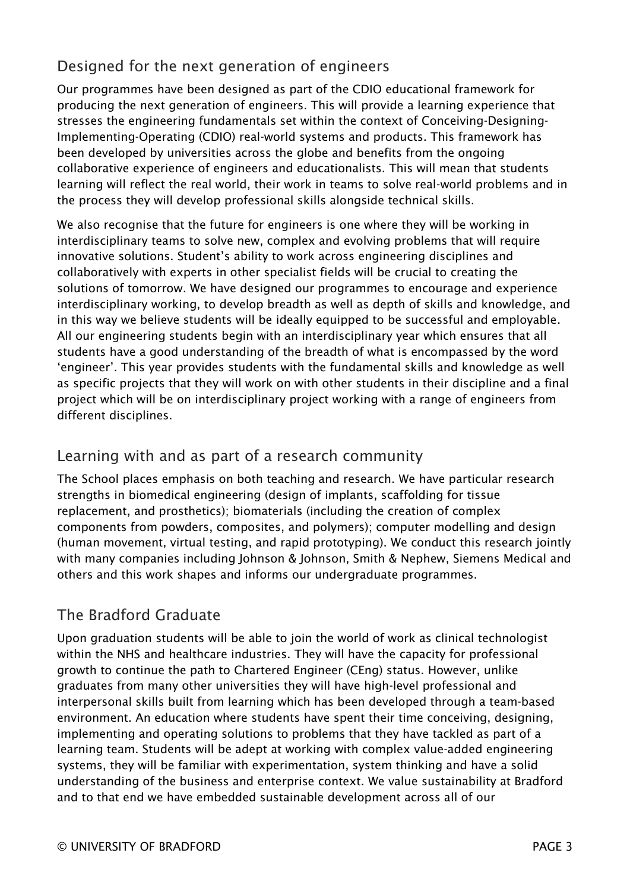# Designed for the next generation of engineers

Our programmes have been designed as part of the CDIO educational framework for producing the next generation of engineers. This will provide a learning experience that stresses the engineering fundamentals set within the context of Conceiving-Designing-Implementing-Operating (CDIO) real-world systems and products. This framework has been developed by universities across the globe and benefits from the ongoing collaborative experience of engineers and educationalists. This will mean that students learning will reflect the real world, their work in teams to solve real-world problems and in the process they will develop professional skills alongside technical skills.

We also recognise that the future for engineers is one where they will be working in interdisciplinary teams to solve new, complex and evolving problems that will require innovative solutions. Student's ability to work across engineering disciplines and collaboratively with experts in other specialist fields will be crucial to creating the solutions of tomorrow. We have designed our programmes to encourage and experience interdisciplinary working, to develop breadth as well as depth of skills and knowledge, and in this way we believe students will be ideally equipped to be successful and employable. All our engineering students begin with an interdisciplinary year which ensures that all students have a good understanding of the breadth of what is encompassed by the word 'engineer'. This year provides students with the fundamental skills and knowledge as well as specific projects that they will work on with other students in their discipline and a final project which will be on interdisciplinary project working with a range of engineers from different disciplines.

## Learning with and as part of a research community

The School places emphasis on both teaching and research. We have particular research strengths in biomedical engineering (design of implants, scaffolding for tissue replacement, and prosthetics); biomaterials (including the creation of complex components from powders, composites, and polymers); computer modelling and design (human movement, virtual testing, and rapid prototyping). We conduct this research jointly with many companies including Johnson & Johnson, Smith & Nephew, Siemens Medical and others and this work shapes and informs our undergraduate programmes.

# The Bradford Graduate

Upon graduation students will be able to join the world of work as clinical technologist within the NHS and healthcare industries. They will have the capacity for professional growth to continue the path to Chartered Engineer (CEng) status. However, unlike graduates from many other universities they will have high-level professional and interpersonal skills built from learning which has been developed through a team-based environment. An education where students have spent their time conceiving, designing, implementing and operating solutions to problems that they have tackled as part of a learning team. Students will be adept at working with complex value-added engineering systems, they will be familiar with experimentation, system thinking and have a solid understanding of the business and enterprise context. We value sustainability at Bradford and to that end we have embedded sustainable development across all of our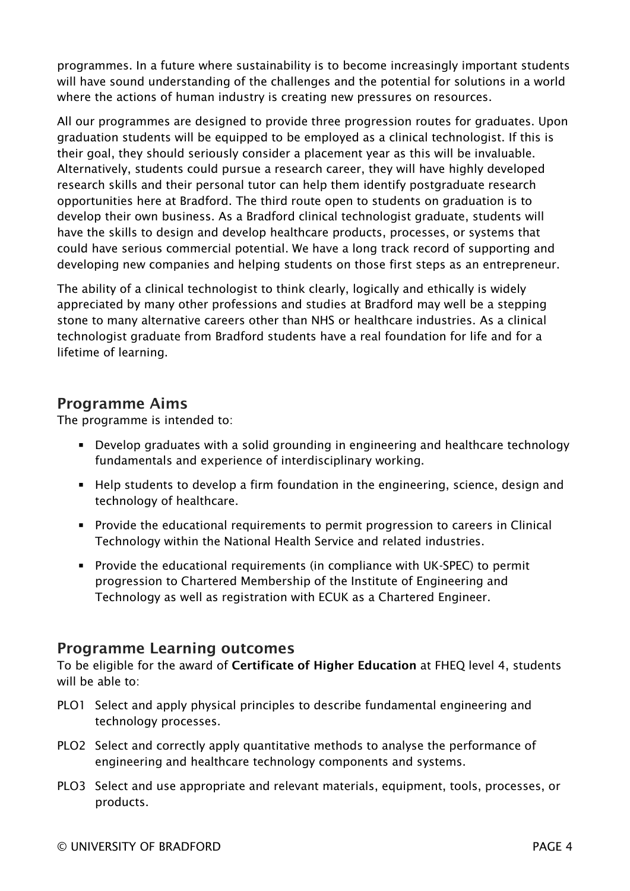programmes. In a future where sustainability is to become increasingly important students will have sound understanding of the challenges and the potential for solutions in a world where the actions of human industry is creating new pressures on resources.

All our programmes are designed to provide three progression routes for graduates. Upon graduation students will be equipped to be employed as a clinical technologist. If this is their goal, they should seriously consider a placement year as this will be invaluable. Alternatively, students could pursue a research career, they will have highly developed research skills and their personal tutor can help them identify postgraduate research opportunities here at Bradford. The third route open to students on graduation is to develop their own business. As a Bradford clinical technologist graduate, students will have the skills to design and develop healthcare products, processes, or systems that could have serious commercial potential. We have a long track record of supporting and developing new companies and helping students on those first steps as an entrepreneur.

The ability of a clinical technologist to think clearly, logically and ethically is widely appreciated by many other professions and studies at Bradford may well be a stepping stone to many alternative careers other than NHS or healthcare industries. As a clinical technologist graduate from Bradford students have a real foundation for life and for a lifetime of learning.

### Programme Aims

The programme is intended to:

- Develop graduates with a solid grounding in engineering and healthcare technology fundamentals and experience of interdisciplinary working.
- Help students to develop a firm foundation in the engineering, science, design and technology of healthcare.
- Provide the educational requirements to permit progression to careers in Clinical Technology within the National Health Service and related industries.
- Provide the educational requirements (in compliance with UK-SPEC) to permit progression to Chartered Membership of the Institute of Engineering and Technology as well as registration with ECUK as a Chartered Engineer.

### Programme Learning outcomes

To be eligible for the award of Certificate of Higher Education at FHEQ level 4, students will be able to:

- PLO1 Select and apply physical principles to describe fundamental engineering and technology processes.
- PLO2 Select and correctly apply quantitative methods to analyse the performance of engineering and healthcare technology components and systems.
- PLO3 Select and use appropriate and relevant materials, equipment, tools, processes, or products.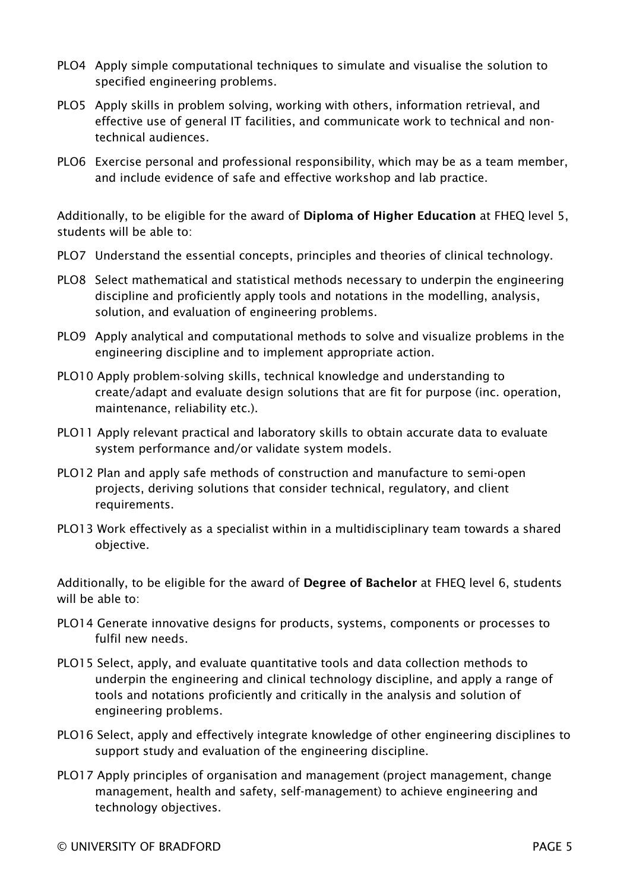- PLO4 Apply simple computational techniques to simulate and visualise the solution to specified engineering problems.
- PLO5 Apply skills in problem solving, working with others, information retrieval, and effective use of general IT facilities, and communicate work to technical and nontechnical audiences.
- PLO6 Exercise personal and professional responsibility, which may be as a team member, and include evidence of safe and effective workshop and lab practice.

Additionally, to be eligible for the award of Diploma of Higher Education at FHEQ level 5, students will be able to:

- PLO7 Understand the essential concepts, principles and theories of clinical technology.
- PLO8 Select mathematical and statistical methods necessary to underpin the engineering discipline and proficiently apply tools and notations in the modelling, analysis, solution, and evaluation of engineering problems.
- PLO9 Apply analytical and computational methods to solve and visualize problems in the engineering discipline and to implement appropriate action.
- PLO10 Apply problem-solving skills, technical knowledge and understanding to create/adapt and evaluate design solutions that are fit for purpose (inc. operation, maintenance, reliability etc.).
- PLO11 Apply relevant practical and laboratory skills to obtain accurate data to evaluate system performance and/or validate system models.
- PLO12 Plan and apply safe methods of construction and manufacture to semi-open projects, deriving solutions that consider technical, regulatory, and client requirements.
- PLO13 Work effectively as a specialist within in a multidisciplinary team towards a shared objective.

Additionally, to be eligible for the award of Degree of Bachelor at FHEQ level 6, students will be able to:

- PLO14 Generate innovative designs for products, systems, components or processes to fulfil new needs.
- PLO15 Select, apply, and evaluate quantitative tools and data collection methods to underpin the engineering and clinical technology discipline, and apply a range of tools and notations proficiently and critically in the analysis and solution of engineering problems.
- PLO16 Select, apply and effectively integrate knowledge of other engineering disciplines to support study and evaluation of the engineering discipline.
- PLO17 Apply principles of organisation and management (project management, change management, health and safety, self-management) to achieve engineering and technology objectives.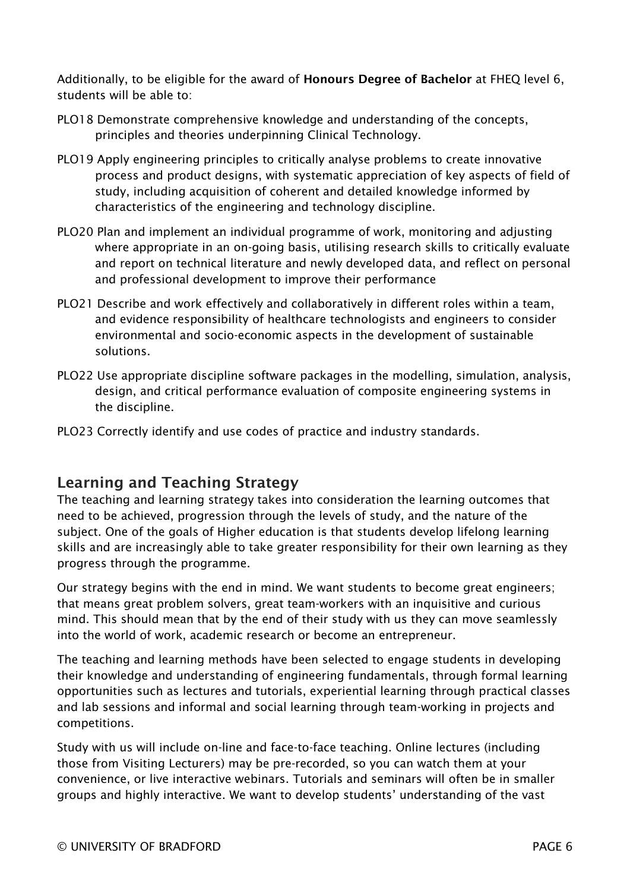Additionally, to be eligible for the award of Honours Degree of Bachelor at FHEQ level 6, students will be able to:

- PLO18 Demonstrate comprehensive knowledge and understanding of the concepts, principles and theories underpinning Clinical Technology.
- PLO19 Apply engineering principles to critically analyse problems to create innovative process and product designs, with systematic appreciation of key aspects of field of study, including acquisition of coherent and detailed knowledge informed by characteristics of the engineering and technology discipline.
- PLO20 Plan and implement an individual programme of work, monitoring and adjusting where appropriate in an on-going basis, utilising research skills to critically evaluate and report on technical literature and newly developed data, and reflect on personal and professional development to improve their performance
- PLO21 Describe and work effectively and collaboratively in different roles within a team, and evidence responsibility of healthcare technologists and engineers to consider environmental and socio-economic aspects in the development of sustainable solutions.
- PLO22 Use appropriate discipline software packages in the modelling, simulation, analysis, design, and critical performance evaluation of composite engineering systems in the discipline.
- PLO23 Correctly identify and use codes of practice and industry standards.

### Learning and Teaching Strategy

The teaching and learning strategy takes into consideration the learning outcomes that need to be achieved, progression through the levels of study, and the nature of the subject. One of the goals of Higher education is that students develop lifelong learning skills and are increasingly able to take greater responsibility for their own learning as they progress through the programme.

Our strategy begins with the end in mind. We want students to become great engineers; that means great problem solvers, great team-workers with an inquisitive and curious mind. This should mean that by the end of their study with us they can move seamlessly into the world of work, academic research or become an entrepreneur.

The teaching and learning methods have been selected to engage students in developing their knowledge and understanding of engineering fundamentals, through formal learning opportunities such as lectures and tutorials, experiential learning through practical classes and lab sessions and informal and social learning through team-working in projects and competitions.

Study with us will include on-line and face-to-face teaching. Online lectures (including those from Visiting Lecturers) may be pre-recorded, so you can watch them at your convenience, or live interactive webinars. Tutorials and seminars will often be in smaller groups and highly interactive. We want to develop students' understanding of the vast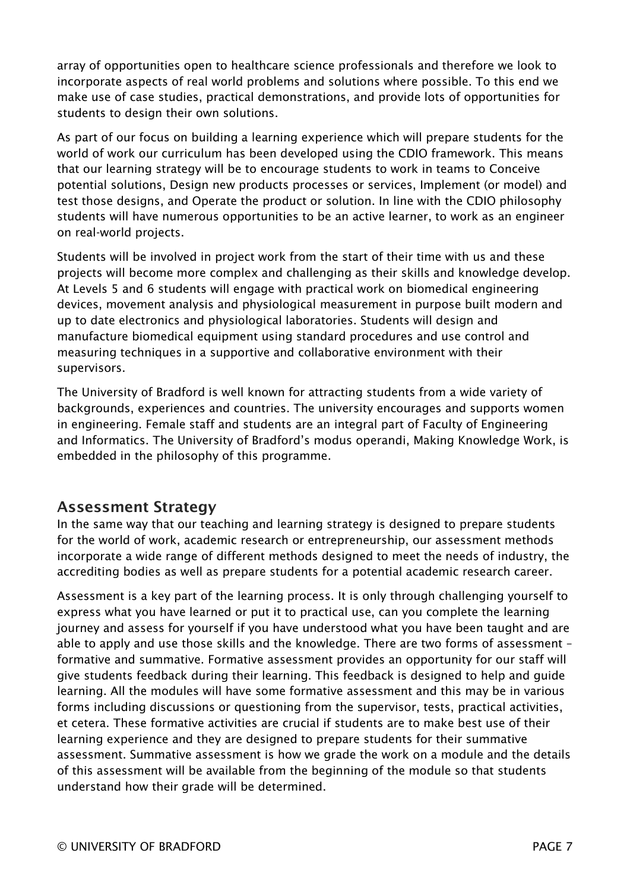array of opportunities open to healthcare science professionals and therefore we look to incorporate aspects of real world problems and solutions where possible. To this end we make use of case studies, practical demonstrations, and provide lots of opportunities for students to design their own solutions.

As part of our focus on building a learning experience which will prepare students for the world of work our curriculum has been developed using the CDIO framework. This means that our learning strategy will be to encourage students to work in teams to Conceive potential solutions, Design new products processes or services, Implement (or model) and test those designs, and Operate the product or solution. In line with the CDIO philosophy students will have numerous opportunities to be an active learner, to work as an engineer on real-world projects.

Students will be involved in project work from the start of their time with us and these projects will become more complex and challenging as their skills and knowledge develop. At Levels 5 and 6 students will engage with practical work on biomedical engineering devices, movement analysis and physiological measurement in purpose built modern and up to date electronics and physiological laboratories. Students will design and manufacture biomedical equipment using standard procedures and use control and measuring techniques in a supportive and collaborative environment with their supervisors.

The University of Bradford is well known for attracting students from a wide variety of backgrounds, experiences and countries. The university encourages and supports women in engineering. Female staff and students are an integral part of Faculty of Engineering and Informatics. The University of Bradford's modus operandi, Making Knowledge Work, is embedded in the philosophy of this programme.

### Assessment Strategy

In the same way that our teaching and learning strategy is designed to prepare students for the world of work, academic research or entrepreneurship, our assessment methods incorporate a wide range of different methods designed to meet the needs of industry, the accrediting bodies as well as prepare students for a potential academic research career.

Assessment is a key part of the learning process. It is only through challenging yourself to express what you have learned or put it to practical use, can you complete the learning journey and assess for yourself if you have understood what you have been taught and are able to apply and use those skills and the knowledge. There are two forms of assessment – formative and summative. Formative assessment provides an opportunity for our staff will give students feedback during their learning. This feedback is designed to help and guide learning. All the modules will have some formative assessment and this may be in various forms including discussions or questioning from the supervisor, tests, practical activities, et cetera. These formative activities are crucial if students are to make best use of their learning experience and they are designed to prepare students for their summative assessment. Summative assessment is how we grade the work on a module and the details of this assessment will be available from the beginning of the module so that students understand how their grade will be determined.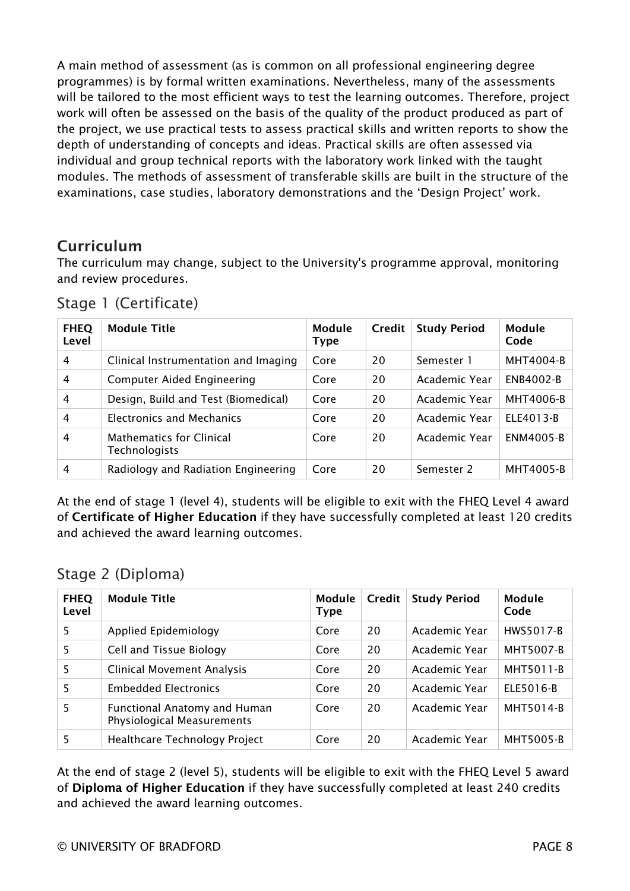A main method of assessment (as is common on all professional engineering degree programmes) is by formal written examinations. Nevertheless, many of the assessments will be tailored to the most efficient ways to test the learning outcomes. Therefore, project work will often be assessed on the basis of the quality of the product produced as part of the project, we use practical tests to assess practical skills and written reports to show the depth of understanding of concepts and ideas. Practical skills are often assessed via individual and group technical reports with the laboratory work linked with the taught modules. The methods of assessment of transferable skills are built in the structure of the examinations, case studies, laboratory demonstrations and the 'Design Project' work.

### **Curriculum**

The curriculum may change, subject to the University's programme approval, monitoring and review procedures.

| <b>FHEQ</b><br>Level | <b>Module Title</b>                                     | Module<br><b>Type</b> | <b>Credit</b> | <b>Study Period</b> | Module<br>Code   |
|----------------------|---------------------------------------------------------|-----------------------|---------------|---------------------|------------------|
| 4                    | Clinical Instrumentation and Imaging                    | Core                  | 20            | Semester 1          | <b>MHT4004-B</b> |
| 4                    | <b>Computer Aided Engineering</b>                       | Core                  | 20            | Academic Year       | <b>ENB4002-B</b> |
| $\overline{4}$       | Design, Build and Test (Biomedical)                     | Core                  | 20            | Academic Year       | MHT4006-B        |
| 4                    | Electronics and Mechanics                               | Core                  | 20            | Academic Year       | ELE4013-B        |
| 4                    | <b>Mathematics for Clinical</b><br><b>Technologists</b> | Core                  | 20            | Academic Year       | ENM4005-B        |
| 4                    | Radiology and Radiation Engineering                     | Core                  | 20            | Semester 2          | MHT4005-B        |

Stage 1 (Certificate)

At the end of stage 1 (level 4), students will be eligible to exit with the FHEQ Level 4 award of Certificate of Higher Education if they have successfully completed at least 120 credits and achieved the award learning outcomes.

### Stage 2 (Diploma)

| <b>FHEQ</b><br>Level | <b>Module Title</b>                                               | <b>Module</b><br><b>Type</b> | Credit | <b>Study Period</b> | <b>Module</b><br>Code |
|----------------------|-------------------------------------------------------------------|------------------------------|--------|---------------------|-----------------------|
| 5                    | Applied Epidemiology                                              | Core                         | 20     | Academic Year       | HWS5017-B             |
| 5                    | Cell and Tissue Biology                                           | Core                         | 20     | Academic Year       | <b>MHT5007-B</b>      |
| 5                    | <b>Clinical Movement Analysis</b>                                 | Core                         | 20     | Academic Year       | MHT5011-B             |
| 5                    | <b>Embedded Electronics</b>                                       | Core                         | 20     | Academic Year       | ELE5016-B             |
| 5                    | <b>Functional Anatomy and Human</b><br>Physiological Measurements | Core                         | 20     | Academic Year       | MHT5014-B             |
| 5                    | Healthcare Technology Project                                     | Core                         | 20     | Academic Year       | MHT5005-B             |

At the end of stage 2 (level 5), students will be eligible to exit with the FHEQ Level 5 award of Diploma of Higher Education if they have successfully completed at least 240 credits and achieved the award learning outcomes.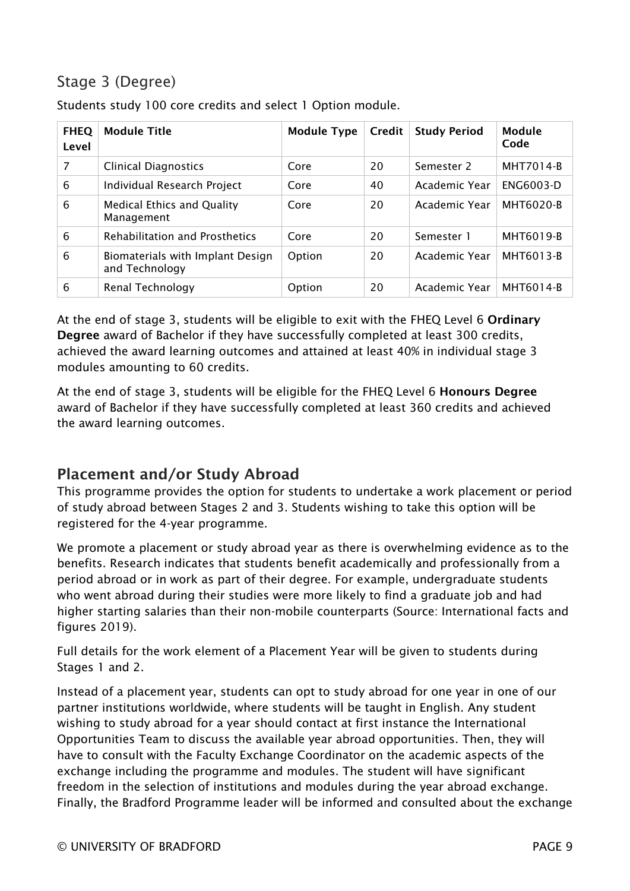# Stage 3 (Degree)

| <b>FHEQ</b><br>Level | <b>Module Title</b>                                | <b>Module Type</b> | Credit | <b>Study Period</b> | Module<br>Code   |
|----------------------|----------------------------------------------------|--------------------|--------|---------------------|------------------|
| 7                    | <b>Clinical Diagnostics</b>                        | Core               | 20     | Semester 2          | <b>MHT7014-B</b> |
| 6                    | Individual Research Project                        | Core               | 40     | Academic Year       | ENG6003-D        |
| 6                    | <b>Medical Ethics and Quality</b><br>Management    | Core               | 20     | Academic Year       | <b>MHT6020-B</b> |
| 6                    | <b>Rehabilitation and Prosthetics</b>              | Core               | 20     | Semester 1          | <b>MHT6019-B</b> |
| 6                    | Biomaterials with Implant Design<br>and Technology | Option             | 20     | Academic Year       | MHT6013-B        |
| 6                    | Renal Technology                                   | Option             | 20     | Academic Year       | <b>MHT6014-B</b> |

Students study 100 core credits and select 1 Option module.

At the end of stage 3, students will be eligible to exit with the FHEQ Level 6 Ordinary Degree award of Bachelor if they have successfully completed at least 300 credits, achieved the award learning outcomes and attained at least 40% in individual stage 3 modules amounting to 60 credits.

At the end of stage 3, students will be eligible for the FHEQ Level 6 Honours Degree award of Bachelor if they have successfully completed at least 360 credits and achieved the award learning outcomes.

## Placement and/or Study Abroad

This programme provides the option for students to undertake a work placement or period of study abroad between Stages 2 and 3. Students wishing to take this option will be registered for the 4-year programme.

We promote a placement or study abroad year as there is overwhelming evidence as to the benefits. Research indicates that students benefit academically and professionally from a period abroad or in work as part of their degree. For example, undergraduate students who went abroad during their studies were more likely to find a graduate job and had higher starting salaries than their non-mobile counterparts (Source: International facts and figures 2019).

Full details for the work element of a Placement Year will be given to students during Stages 1 and 2.

Instead of a placement year, students can opt to study abroad for one year in one of our partner institutions worldwide, where students will be taught in English. Any student wishing to study abroad for a year should contact at first instance the International Opportunities Team to discuss the available year abroad opportunities. Then, they will have to consult with the Faculty Exchange Coordinator on the academic aspects of the exchange including the programme and modules. The student will have significant freedom in the selection of institutions and modules during the year abroad exchange. Finally, the Bradford Programme leader will be informed and consulted about the exchange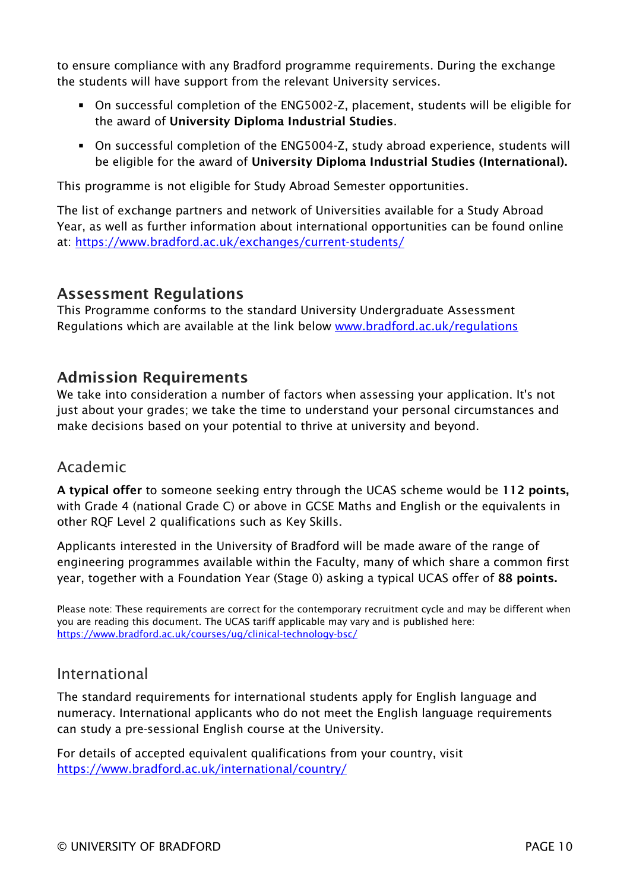to ensure compliance with any Bradford programme requirements. During the exchange the students will have support from the relevant University services.

- On successful completion of the ENG5002-Z, placement, students will be eligible for the award of University Diploma Industrial Studies.
- On successful completion of the ENG5004-Z, study abroad experience, students will be eligible for the award of University Diploma Industrial Studies (International).

This programme is not eligible for Study Abroad Semester opportunities.

The list of exchange partners and network of Universities available for a Study Abroad Year, as well as further information about international opportunities can be found online at:<https://www.bradford.ac.uk/exchanges/current-students/>

#### Assessment Regulations

This Programme conforms to the standard University Undergraduate Assessment Regulations which are available at the link below [www.bradford.ac.uk/regulations](http://www.bradford.ac.uk/regulations)

#### Admission Requirements

We take into consideration a number of factors when assessing your application. It's not just about your grades; we take the time to understand your personal circumstances and make decisions based on your potential to thrive at university and beyond.

#### Academic

A typical offer to someone seeking entry through the UCAS scheme would be 112 points, with Grade 4 (national Grade C) or above in GCSE Maths and English or the equivalents in other RQF Level 2 qualifications such as Key Skills.

Applicants interested in the University of Bradford will be made aware of the range of engineering programmes available within the Faculty, many of which share a common first year, together with a Foundation Year (Stage 0) asking a typical UCAS offer of 88 points.

Please note: These requirements are correct for the contemporary recruitment cycle and may be different when you are reading this document. The UCAS tariff applicable may vary and is published here: <https://www.bradford.ac.uk/courses/ug/clinical-technology-bsc/>

#### International

The standard requirements for international students apply for English language and numeracy. International applicants who do not meet the English language requirements can study a pre-sessional English course at the University.

For details of accepted equivalent qualifications from your country, visit *32T*<https://www.bradford.ac.uk/international/country/>*32T*